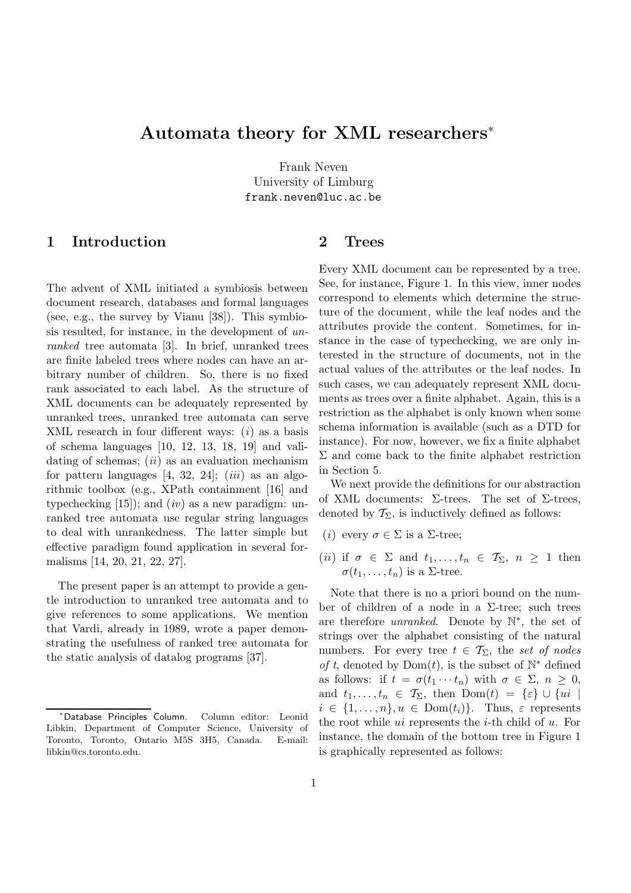# **Automata theory for XML researchers**<sup>∗</sup>

Frank Neven<br>University of Limburg University of Limburg frank.neven@luc.ac.be

### **1 Introduction**

The advent of XML initiated a symbiosis between document research, databases and formal languages (see, e.g., the survey by Vianu [38]). This symbiosis resulted, for instance, in the development of unranked tree automata [3]. In brief, unranked trees are finite labeled trees where nodes can have an arbitrary number of children. So, there is no fixed rank associated to each label. As the structure of XML documents can be adequately represented by unranked trees, unranked tree automata can serve XML research in four different ways:  $(i)$  as a basis of schema languages [10, 12, 13, 18, 19] and validating of schemas;  $(ii)$  as an evaluation mechanism for pattern languages  $[4, 32, 24]$ ;  $(iii)$  as an algorithmic toolbox (e.g., XPath containment [16] and typechecking  $[15]$ ; and  $(iv)$  as a new paradigm: unranked tree automata use regular string languages to deal with unrankedness. The latter simple but effective paradigm found application in several formalisms [14, 20, 21, 22, 27].

The present paper is an attempt to provide a gentle introduction to unranked tree automata and to give references to some applications. We mention that Vardi, already in 1989, wrote a paper demonstrating the usefulness of ranked tree automata for the static analysis of datalog programs [37].

### **2 Trees**

Every XML document can be represented by a tree. See, for instance, Figure 1. In this view, inner nodes correspond to elements which determine the structure of the document, while the leaf nodes and the attributes provide the content. Sometimes, for instance in the case of typechecking, we are only interested in the structure of documents, not in the actual values of the attributes or the leaf nodes. In such cases, we can adequately represent XML documents as trees over a finite alphabet. Again, this is a restriction as the alphabet is only known when some schema information is available (such as a DTD for instance). For now, however, we fix a finite alphabet  $\Sigma$  and come back to the finite alphabet restriction in Section 5.

We next provide the definitions for our abstraction of XML documents:  $\Sigma$ -trees. The set of  $\Sigma$ -trees, denoted by  $\mathcal{T}_{\Sigma}$ , is inductively defined as follows:

- (*i*) every  $\sigma \in \Sigma$  is a  $\Sigma$ -tree;
- (*ii*) if  $\sigma \in \Sigma$  and  $t_1, \ldots, t_n \in \mathcal{T}_{\Sigma}, n \geq 1$  then  $\sigma(t_1,\ldots,t_n)$  is a  $\Sigma$ -tree.

Note that there is no a priori bound on the number of children of a node in a  $\Sigma$ -tree; such trees are therefore unranked. Denote by N∗, the set of strings over the alphabet consisting of the natural numbers. For every tree  $t \in \mathcal{T}_{\Sigma}$ , the set of nodes of t, denoted by  $Dom(t)$ , is the subset of  $\mathbb{N}^*$  defined as follows: if  $t = \sigma(t_1 \cdots t_n)$  with  $\sigma \in \Sigma$ ,  $n \geq 0$ , and  $t_1,\ldots,t_n \in \mathcal{T}_{\Sigma}$ , then  $\text{Dom}(t) = \{\varepsilon\} \cup \{ui$  $i \in \{1,\ldots,n\}, u \in \text{Dom}(t_i)\}.$  Thus,  $\varepsilon$  represents the root while  $ui$  represents the *i*-th child of  $u$ . For instance, the domain of the bottom tree in Figure 1 is graphically represented as follows:

<sup>∗</sup>Database Principles Column. Column editor: Leonid Libkin, Department of Computer Science, University of Toronto, Toronto, Ontario M5S 3H5, Canada. E-mail: libkin@cs.toronto.edu.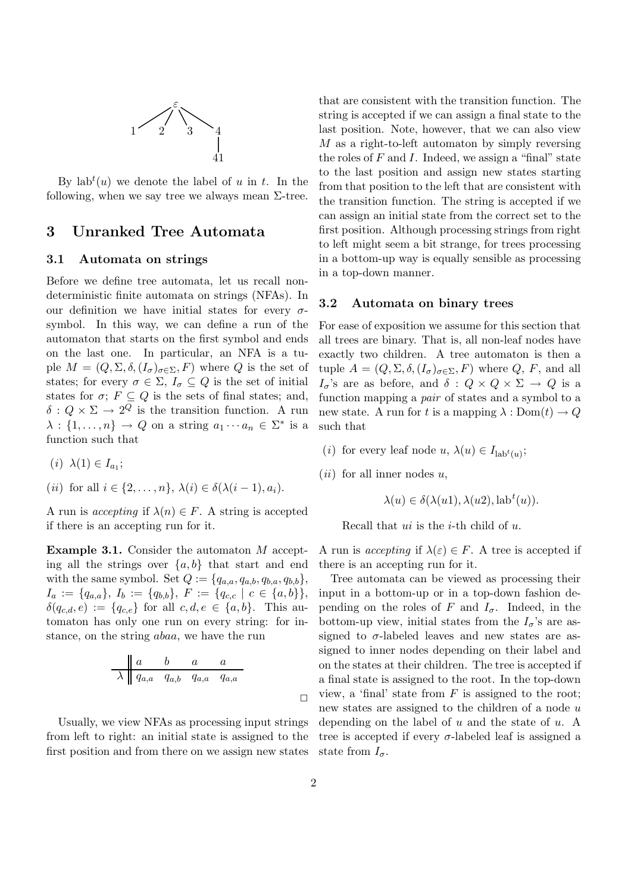

By  $lab<sup>t</sup>(u)$  we denote the label of u in t. In the following, when we say tree we always mean  $\Sigma$ -tree.

### **3 Unranked Tree Automata**

#### **3.1 Automata on strings**

Before we define tree automata, let us recall nondeterministic finite automata on strings (NFAs). In our definition we have initial states for every  $\sigma$ symbol. In this way, we can define a run of the automaton that starts on the first symbol and ends on the last one. In particular, an NFA is a tuple  $M = (Q, \Sigma, \delta, (I_{\sigma})_{\sigma \in \Sigma}, F)$  where Q is the set of states; for every  $\sigma \in \Sigma$ ,  $I_{\sigma} \subseteq Q$  is the set of initial states for  $\sigma$ ;  $F \subseteq Q$  is the sets of final states; and,  $\delta: Q \times \Sigma \to 2^Q$  is the transition function. A run  $\lambda : \{1, \ldots, n\} \to Q$  on a string  $a_1 \cdots a_n \in \Sigma^*$  is a function such that

- $(i)$   $\lambda(1) \in I_{a_1}$ ;
- (*ii*) for all  $i \in \{2,\ldots,n\}, \lambda(i) \in \delta(\lambda(i-1), a_i).$

A run is *accepting* if  $\lambda(n) \in F$ . A string is accepted if there is an accepting run for it.

**Example 3.1.** Consider the automaton <sup>M</sup> accepting all the strings over  $\{a, b\}$  that start and end with the same symbol. Set  $Q := \{q_{a,a}, q_{a,b}, q_{b,a}, q_{b,b}\},\$  $I_a := \{q_{a,a}\}, I_b := \{q_{b,b}\}, F := \{q_{c,c} \mid c \in \{a,b\}\},$  $\delta(q_{c,d}, e) := \{q_{c,e}\}\$ for all  $c, d, e \in \{a, b\}.$  This automaton has only one run on every string: for instance, on the string abaa, we have the run

$$
\begin{array}{c|cccc}\n & a & b & a & a \\
\hline\n\lambda & q_{a,a} & q_{a,b} & q_{a,a} & q_{a,a} \\
\end{array}
$$

Usually, we view NFAs as processing input strings from left to right: an initial state is assigned to the first position and from there on we assign new states

that are consistent with the transition function. The string is accepted if we can assign a final state to the last position. Note, however, that we can also view M as a right-to-left automaton by simply reversing the roles of  $F$  and  $I$ . Indeed, we assign a "final" state to the last position and assign new states starting from that position to the left that are consistent with the transition function. The string is accepted if we can assign an initial state from the correct set to the first position. Although processing strings from right to left might seem a bit strange, for trees processing in a bottom-up way is equally sensible as processing in a top-down manner.

#### **3.2 Automata on binary trees**

For ease of exposition we assume for this section that all trees are binary. That is, all non-leaf nodes have exactly two children. A tree automaton is then a tuple  $A = (Q, \Sigma, \delta, (I_{\sigma})_{\sigma \in \Sigma}, F)$  where  $Q, F$ , and all  $I_{\sigma}$ 's are as before, and  $\delta: Q \times Q \times \Sigma \rightarrow Q$  is a function mapping a pair of states and a symbol to a new state. A run for t is a mapping  $\lambda : Dom(t) \to Q$ such that

- (*i*) for every leaf node  $u, \lambda(u) \in I_{\text{lab}^t(u)}$ ;
- $(ii)$  for all inner nodes u,

$$
\lambda(u) \in \delta(\lambda(u1), \lambda(u2), \text{lab}^t(u)).
$$

Recall that  $ui$  is the *i*-th child of  $u$ .

A run is *accepting* if  $\lambda(\varepsilon) \in F$ . A tree is accepted if there is an accepting run for it.

Tree automata can be viewed as processing their input in a bottom-up or in a top-down fashion depending on the roles of F and  $I_{\sigma}$ . Indeed, in the bottom-up view, initial states from the  $I_{\sigma}$ 's are assigned to  $\sigma$ -labeled leaves and new states are assigned to inner nodes depending on their label and on the states at their children. The tree is accepted if a final state is assigned to the root. In the top-down view, a 'final' state from  $F$  is assigned to the root; new states are assigned to the children of a node u depending on the label of  $u$  and the state of  $u$ . A tree is accepted if every  $\sigma$ -labeled leaf is assigned a state from  $I_{\sigma}$ .

 $\Box$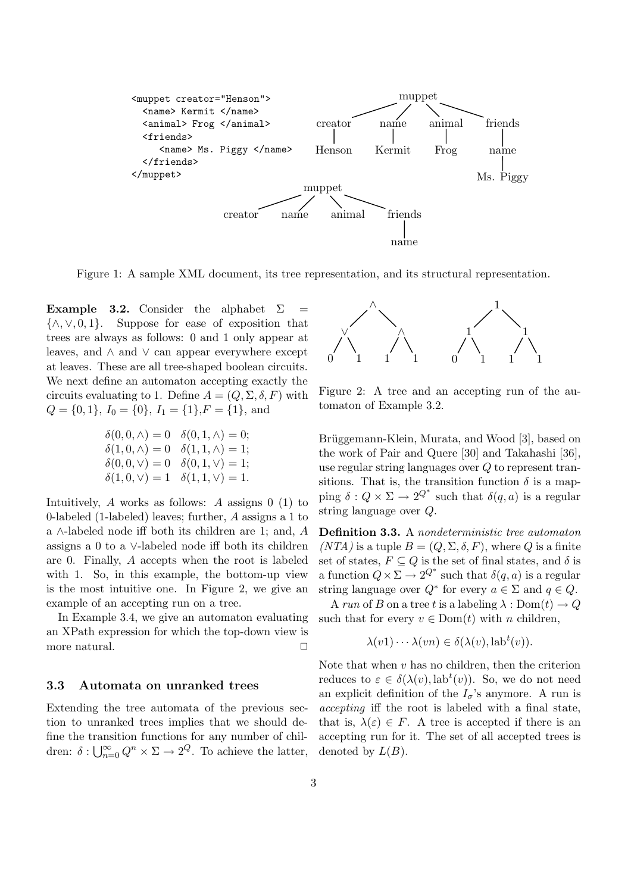

Figure 1: A sample XML document, its tree representation, and its structural representation.

**Example 3.2.** Consider the alphabet  $\Sigma = {\wedge, \vee, 0, 1}$ . Suppose for ease of exposition that {∧,∨, 0, 1}. Suppose for ease of exposition that trees are always as follows: 0 and 1 only appear at leaves, and ∧ and ∨ can appear everywhere except at leaves. These are all tree-shaped boolean circuits. We next define an automaton accepting exactly the circuits evaluating to 1. Define  $A = (Q, \Sigma, \delta, F)$  with  $Q = \{0, 1\}, I_0 = \{0\}, I_1 = \{1\}, F = \{1\}, \text{and}$ 

$$
\begin{array}{ll}\n\delta(0,0,\wedge) = 0 & \delta(0,1,\wedge) = 0; \\
\delta(1,0,\wedge) = 0 & \delta(1,1,\wedge) = 1; \\
\delta(0,0,\vee) = 0 & \delta(0,1,\vee) = 1; \\
\delta(1,0,\vee) = 1 & \delta(1,1,\vee) = 1.\n\end{array}
$$

Intuitively, A works as follows: A assigns  $0(1)$  to 0-labeled (1-labeled) leaves; further, A assigns a 1 to a ∧-labeled node iff both its children are 1; and, A assigns a 0 to a ∨-labeled node iff both its children are 0. Finally, A accepts when the root is labeled with 1. So, in this example, the bottom-up view is the most intuitive one. In Figure 2, we give an example of an accepting run on a tree.

In Example 3.4, we give an automaton evaluating an XPath expression for which the top-down view is more natural.  $\hfill \Box$ 

#### **3.3 Automata on unranked trees**

Extending the tree automata of the previous section to unranked trees implies that we should define the transition functions for any number of children:  $\delta: \bigcup_{n=0}^{\infty} Q^n \times \Sigma \to 2^Q$ . To achieve the latter,



Figure 2: A tree and an accepting run of the automaton of Example 3.2.

Brüggemann-Klein, Murata, and Wood [3], based on the work of Pair and Quere [30] and Takahashi [36], use regular string languages over Q to represent transitions. That is, the transition function  $\delta$  is a mapping  $\delta: Q \times \Sigma \to 2^{Q^*}$  such that  $\delta(q, a)$  is a regular string language over Q.

**Definition 3.3.** <sup>A</sup> nondeterministic tree automaton  $(NTA)$  is a tuple  $B = (Q, \Sigma, \delta, F)$ , where Q is a finite set of states,  $F \subseteq Q$  is the set of final states, and  $\delta$  is a function  $Q \times \Sigma \to 2^{Q^*}$  such that  $\delta(q, a)$  is a regular string language over  $Q^*$  for every  $a \in \Sigma$  and  $q \in Q$ .

A run of B on a tree t is a labeling  $\lambda : Dom(t) \to Q$ such that for every  $v \in Dom(t)$  with n children,

$$
\lambda(v1)\cdots\lambda(vn)\in\delta(\lambda(v),\text{lab}^t(v)).
$$

Note that when  $v$  has no children, then the criterion reduces to  $\varepsilon \in \delta(\lambda(v), \text{lab}^t(v))$ . So, we do not need an explicit definition of the  $I_{\sigma}$ 's anymore. A run is accepting iff the root is labeled with a final state, that is,  $\lambda(\varepsilon) \in F$ . A tree is accepted if there is an accepting run for it. The set of all accepted trees is denoted by  $L(B)$ .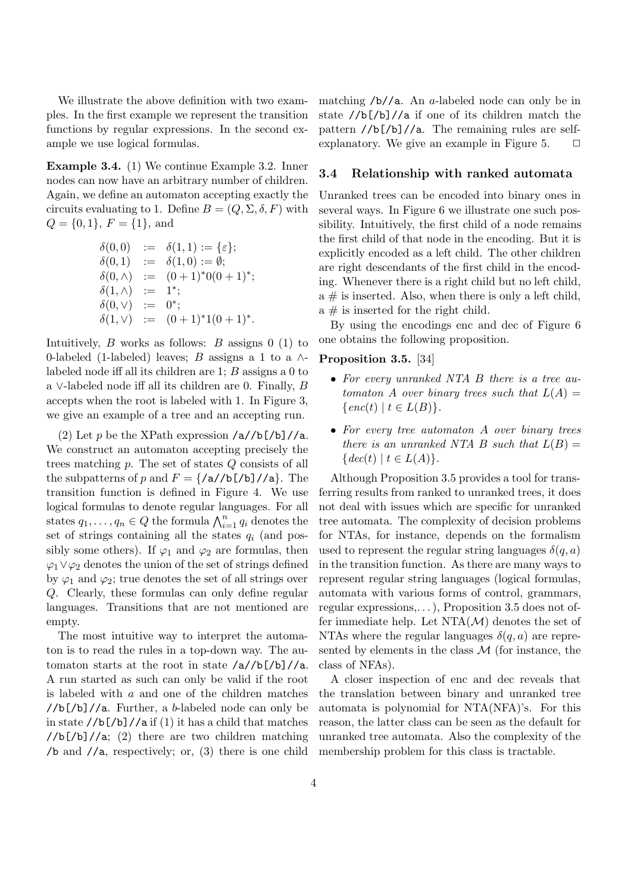We illustrate the above definition with two examples. In the first example we represent the transition functions by regular expressions. In the second example we use logical formulas.

**Example 3.4.** (1) We continue Example 3.2. Inner nodes can now have an arbitrary number of children. Again, we define an automaton accepting exactly the circuits evaluating to 1. Define  $B = (Q, \Sigma, \delta, F)$  with  $Q = \{0, 1\}, F = \{1\}, \text{and}$ 

$$
\delta(0,0) := \delta(1,1) := \{\varepsilon\};
$$
  
\n
$$
\delta(0,1) := \delta(1,0) := \emptyset;
$$
  
\n
$$
\delta(0,\wedge) := (0+1)^*0(0+1)^*;
$$
  
\n
$$
\delta(1,\wedge) := 1^*;
$$
  
\n
$$
\delta(0,\vee) := 0^*;
$$
  
\n
$$
\delta(1,\vee) := (0+1)^*1(0+1)^*.
$$

Intuitively,  $B$  works as follows:  $B$  assigns 0 (1) to 0-labeled (1-labeled) leaves; B assigns a 1 to a  $\wedge$ labeled node iff all its children are 1; B assigns a 0 to a ∨-labeled node iff all its children are 0. Finally, B accepts when the root is labeled with 1. In Figure 3, we give an example of a tree and an accepting run.

(2) Let p be the XPath expression  $\sqrt{a}/b$ [/b]/ $\sqrt{a}$ . We construct an automaton accepting precisely the trees matching p. The set of states Q consists of all the subpatterns of p and  $F = \frac{\{\mathsf{a}} / \mathsf{b} \mathsf{b}}{\mathsf{b}} / \mathsf{a}$ . The transition function is defined in Figure 4. We use logical formulas to denote regular languages. For all states  $q_1, \ldots, q_n \in Q$  the formula  $\bigwedge_{i=1}^n q_i$  denotes the set of strings containing all the states  $q_i$  (and possibly some others). If  $\varphi_1$  and  $\varphi_2$  are formulas, then  $\varphi_1 \vee \varphi_2$  denotes the union of the set of strings defined by  $\varphi_1$  and  $\varphi_2$ ; true denotes the set of all strings over Q. Clearly, these formulas can only define regular languages. Transitions that are not mentioned are empty.

The most intuitive way to interpret the automaton is to read the rules in a top-down way. The automaton starts at the root in state /a//b[/b]//a. A run started as such can only be valid if the root is labeled with  $a$  and one of the children matches  $//b$ [/b]//a. Further, a b-labeled node can only be in state  $//b]/b]/a$  if (1) it has a child that matches  $//b]/b]/a$ ; (2) there are two children matching /b and //a, respectively; or, (3) there is one child matching  $/b//a$ . An a-labeled node can only be in state //b[/b]//a if one of its children match the pattern //b[/b]//a. The remaining rules are selfexplanatory. We give an example in Figure 5.  $\Box$ 

#### **3.4 Relationship with ranked automata**

Unranked trees can be encoded into binary ones in several ways. In Figure 6 we illustrate one such possibility. Intuitively, the first child of a node remains the first child of that node in the encoding. But it is explicitly encoded as a left child. The other children are right descendants of the first child in the encoding. Whenever there is a right child but no left child,  $a \#$  is inserted. Also, when there is only a left child,  $a \#$  is inserted for the right child.

By using the encodings enc and dec of Figure 6 one obtains the following proposition.

#### **Proposition 3.5.** [34]

- For every unranked NTA B there is a tree automaton A over binary trees such that  $L(A) =$  $\{enc(t) | t \in L(B)\}.$
- For every tree automaton A over binary trees there is an unranked NTA B such that  $L(B) =$  $\{dec(t) | t \in L(A)\}.$

Although Proposition 3.5 provides a tool for transferring results from ranked to unranked trees, it does not deal with issues which are specific for unranked tree automata. The complexity of decision problems for NTAs, for instance, depends on the formalism used to represent the regular string languages  $\delta(q, a)$ in the transition function. As there are many ways to represent regular string languages (logical formulas, automata with various forms of control, grammars, regular expressions,. . . ), Proposition 3.5 does not offer immediate help. Let  $NTA(\mathcal{M})$  denotes the set of NTAs where the regular languages  $\delta(q, a)$  are represented by elements in the class  $\mathcal M$  (for instance, the class of NFAs).

A closer inspection of enc and dec reveals that the translation between binary and unranked tree automata is polynomial for NTA(NFA)'s. For this reason, the latter class can be seen as the default for unranked tree automata. Also the complexity of the membership problem for this class is tractable.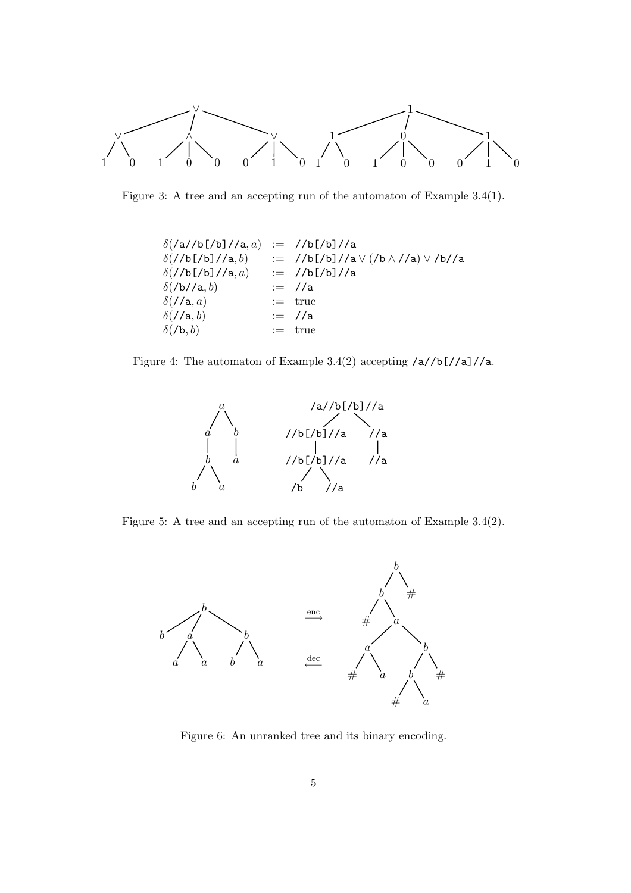

Figure 3: A tree and an accepting run of the automaton of Example 3.4(1).

| $\delta$ (/a//b[/b]//a,a) | $:=$ //b[/b]//a                                    |
|---------------------------|----------------------------------------------------|
| $\delta$ (//b[/b]//a,b)   | := //b[/b]//a $\lor$ (/b $\land$ //a) $\lor$ /b//a |
| $\delta$ (//b[/b]//a,a)   | $:=$ //b[/b]//a                                    |
| $\delta$ (/b//a,b)        | $:=$ //a                                           |
| $\delta$ (//a,a)          | $:=$ true                                          |
| $\delta$ (//a, b)         | $:=$ //a                                           |
| $\delta$ (/b, b)          | $:=$ true                                          |

Figure 4: The automaton of Example 3.4(2) accepting /a//b[//a]//a.



Figure 5: A tree and an accepting run of the automaton of Example 3.4(2).



Figure 6: An unranked tree and its binary encoding.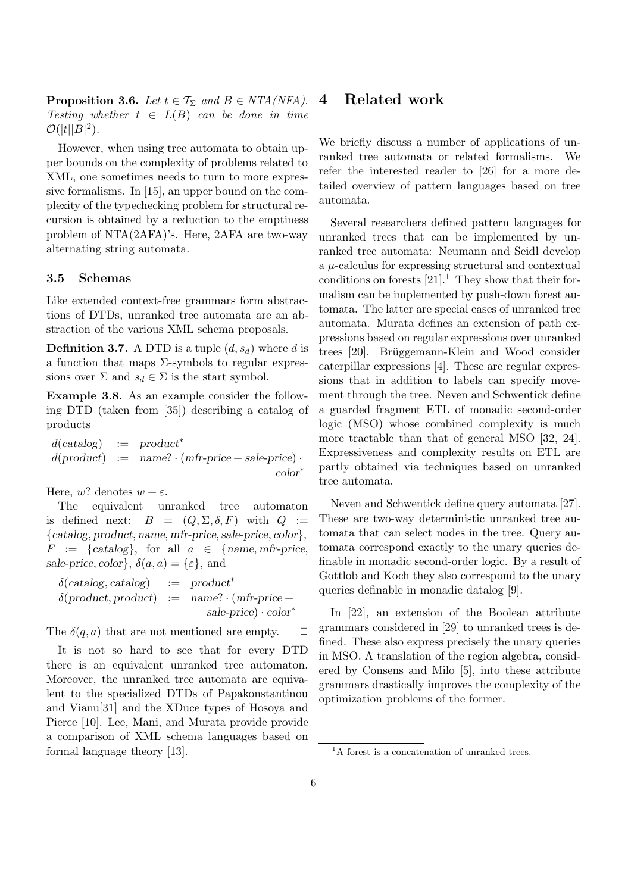**Proposition 3.6.** Let  $t \in \mathcal{T}_{\Sigma}$  and  $B \in NTA(NFA)$ . Testing whether  $t \in L(B)$  can be done in time  $\mathcal{O}(|t| |B|^2)$ .

However, when using tree automata to obtain upper bounds on the complexity of problems related to XML, one sometimes needs to turn to more expressive formalisms. In [15], an upper bound on the complexity of the typechecking problem for structural recursion is obtained by a reduction to the emptiness problem of NTA(2AFA)'s. Here, 2AFA are two-way alternating string automata.

#### **3.5 Schemas**

Like extended context-free grammars form abstractions of DTDs, unranked tree automata are an abstraction of the various XML schema proposals.

**Definition 3.7.** A DTD is a tuple  $(d, s_d)$  where d is a function that maps  $\Sigma$ -symbols to regular expressions over  $\Sigma$  and  $s_d \in \Sigma$  is the start symbol.

**Example 3.8.** As an example consider the following DTD (taken from [35]) describing a catalog of products

d(*catalog*) := *product*<sup>∗</sup>  $d(product) := name? \cdot (mfr-price + sale-price) \cdot$ *color*∗

Here, w? denotes  $w + \varepsilon$ .

The equivalent unranked tree automaton is defined next:  $B = (Q, \Sigma, \delta, F)$  with  $Q :=$ {*catalog*, *product*, *name*, *mfr-price*,*sale-price*, *color*},  $F := \{catalog\}$ , for all  $a \in \{name, mfr\}$ *sale-price*, *color*},  $\delta(a, a) = \{\varepsilon\}$ , and

δ(*catalog*, *catalog*) := *product*<sup>∗</sup>  $\delta$ (*product*, *product*) := *name*?  $\cdot$  (*mfr-price* + *sale-price*) · *color*∗

The  $\delta(q, a)$  that are not mentioned are empty.  $\Box$ 

It is not so hard to see that for every DTD there is an equivalent unranked tree automaton. Moreover, the unranked tree automata are equivalent to the specialized DTDs of Papakonstantinou and Vianu[31] and the XDuce types of Hosoya and Pierce [10]. Lee, Mani, and Murata provide provide a comparison of XML schema languages based on formal language theory [13].

### **4 Related work**

We briefly discuss a number of applications of unranked tree automata or related formalisms. We refer the interested reader to [26] for a more detailed overview of pattern languages based on tree automata.

Several researchers defined pattern languages for unranked trees that can be implemented by unranked tree automata: Neumann and Seidl develop a  $\mu$ -calculus for expressing structural and contextual conditions on forests  $[21]$ .<sup>1</sup> They show that their formalism can be implemented by push-down forest automata. The latter are special cases of unranked tree automata. Murata defines an extension of path expressions based on regular expressions over unranked trees [20]. Brüggemann-Klein and Wood consider caterpillar expressions [4]. These are regular expressions that in addition to labels can specify movement through the tree. Neven and Schwentick define a guarded fragment ETL of monadic second-order logic (MSO) whose combined complexity is much more tractable than that of general MSO [32, 24]. Expressiveness and complexity results on ETL are partly obtained via techniques based on unranked tree automata.

Neven and Schwentick define query automata [27]. These are two-way deterministic unranked tree automata that can select nodes in the tree. Query automata correspond exactly to the unary queries definable in monadic second-order logic. By a result of Gottlob and Koch they also correspond to the unary queries definable in monadic datalog [9].

In [22], an extension of the Boolean attribute grammars considered in [29] to unranked trees is defined. These also express precisely the unary queries in MSO. A translation of the region algebra, considered by Consens and Milo [5], into these attribute grammars drastically improves the complexity of the optimization problems of the former.

<sup>&</sup>lt;sup>1</sup>A forest is a concatenation of unranked trees.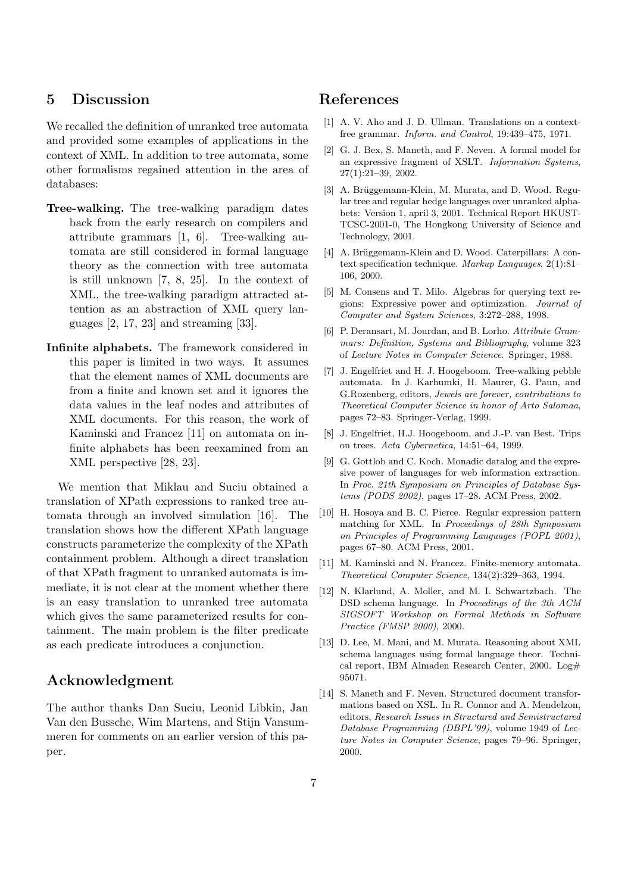# **5 Discussion**

We recalled the definition of unranked tree automata and provided some examples of applications in the context of XML. In addition to tree automata, some other formalisms regained attention in the area of databases:

- **Tree-walking.** The tree-walking paradigm dates back from the early research on compilers and attribute grammars [1, 6]. Tree-walking automata are still considered in formal language theory as the connection with tree automata is still unknown [7, 8, 25]. In the context of XML, the tree-walking paradigm attracted attention as an abstraction of XML query languages  $[2, 17, 23]$  and streaming  $[33]$ .
- **Infinite alphabets.** The framework considered in this paper is limited in two ways. It assumes that the element names of XML documents are from a finite and known set and it ignores the data values in the leaf nodes and attributes of XML documents. For this reason, the work of Kaminski and Francez [11] on automata on infinite alphabets has been reexamined from an XML perspective [28, 23].

We mention that Miklau and Suciu obtained a translation of XPath expressions to ranked tree automata through an involved simulation [16]. The translation shows how the different XPath language constructs parameterize the complexity of the XPath containment problem. Although a direct translation of that XPath fragment to unranked automata is immediate, it is not clear at the moment whether there is an easy translation to unranked tree automata which gives the same parameterized results for containment. The main problem is the filter predicate as each predicate introduces a conjunction.

# **Acknowledgment**

The author thanks Dan Suciu, Leonid Libkin, Jan Van den Bussche, Wim Martens, and Stijn Vansummeren for comments on an earlier version of this paper.

# **References**

- [1] A. V. Aho and J. D. Ullman. Translations on a contextfree grammar. Inform. and Control, 19:439–475, 1971.
- [2] G. J. Bex, S. Maneth, and F. Neven. A formal model for an expressive fragment of XSLT. Information Systems, 27(1):21–39, 2002.
- [3] A. Brüggemann-Klein, M. Murata, and D. Wood. Regular tree and regular hedge languages over unranked alphabets: Version 1, april 3, 2001. Technical Report HKUST-TCSC-2001-0, The Hongkong University of Science and Technology, 2001.
- [4] A. Brüggemann-Klein and D. Wood. Caterpillars: A context specification technique. Markup Languages, 2(1):81– 106, 2000.
- [5] M. Consens and T. Milo. Algebras for querying text regions: Expressive power and optimization. Journal of Computer and System Sciences, 3:272–288, 1998.
- [6] P. Deransart, M. Jourdan, and B. Lorho. Attribute Grammars: Definition, Systems and Bibliography, volume 323 of Lecture Notes in Computer Science. Springer, 1988.
- [7] J. Engelfriet and H. J. Hoogeboom. Tree-walking pebble automata. In J. Karhumki, H. Maurer, G. Paun, and G.Rozenberg, editors, Jewels are forever, contributions to Theoretical Computer Science in honor of Arto Salomaa, pages 72–83. Springer-Verlag, 1999.
- [8] J. Engelfriet, H.J. Hoogeboom, and J.-P. van Best. Trips on trees. Acta Cybernetica, 14:51–64, 1999.
- [9] G. Gottlob and C. Koch. Monadic datalog and the expresive power of languages for web information extraction. In Proc. 21th Symposium on Principles of Database Systems (PODS 2002), pages 17–28. ACM Press, 2002.
- [10] H. Hosoya and B. C. Pierce. Regular expression pattern matching for XML. In Proceedings of 28th Symposium on Principles of Programming Languages (POPL 2001), pages 67–80. ACM Press, 2001.
- [11] M. Kaminski and N. Francez. Finite-memory automata. Theoretical Computer Science, 134(2):329–363, 1994.
- [12] N. Klarlund, A. Moller, and M. I. Schwartzbach. The DSD schema language. In Proceedings of the 3th ACM SIGSOFT Workshop on Formal Methods in Software Practice (FMSP 2000), 2000.
- [13] D. Lee, M. Mani, and M. Murata. Reasoning about XML schema languages using formal language theor. Technical report, IBM Almaden Research Center, 2000.  $Log#$ 95071.
- [14] S. Maneth and F. Neven. Structured document transformations based on XSL. In R. Connor and A. Mendelzon, editors, Research Issues in Structured and Semistructured Database Programming (DBPL'99), volume 1949 of Lecture Notes in Computer Science, pages 79–96. Springer, 2000.